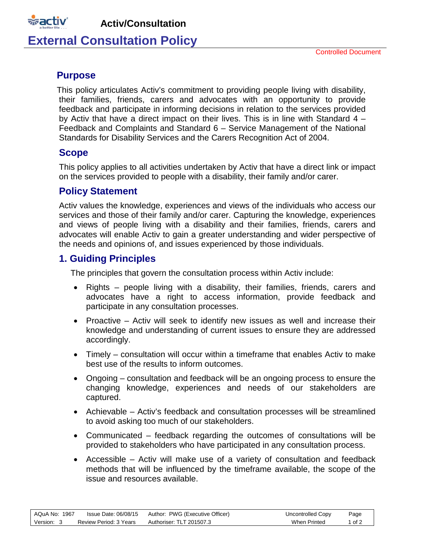

**Activ/Consultation**

# **External Consultation Policy**

### **Purpose**

This policy articulates Activ's commitment to providing people living with disability, their families, friends, carers and advocates with an opportunity to provide feedback and participate in informing decisions in relation to the services provided by Activ that have a direct impact on their lives. This is in line with Standard 4 – Feedback and Complaints and Standard 6 – Service Management of the National Standards for Disability Services and the Carers Recognition Act of 2004.

### **Scope**

This policy applies to all activities undertaken by Activ that have a direct link or impact on the services provided to people with a disability, their family and/or carer.

### **Policy Statement**

Activ values the knowledge, experiences and views of the individuals who access our services and those of their family and/or carer. Capturing the knowledge, experiences and views of people living with a disability and their families, friends, carers and advocates will enable Activ to gain a greater understanding and wider perspective of the needs and opinions of, and issues experienced by those individuals.

## **1. Guiding Principles**

The principles that govern the consultation process within Activ include:

- Rights people living with a disability, their families, friends, carers and advocates have a right to access information, provide feedback and participate in any consultation processes.
- Proactive Activ will seek to identify new issues as well and increase their knowledge and understanding of current issues to ensure they are addressed accordingly.
- Timely consultation will occur within a timeframe that enables Activ to make best use of the results to inform outcomes.
- Ongoing consultation and feedback will be an ongoing process to ensure the changing knowledge, experiences and needs of our stakeholders are captured.
- Achievable Activ's feedback and consultation processes will be streamlined to avoid asking too much of our stakeholders.
- Communicated feedback regarding the outcomes of consultations will be provided to stakeholders who have participated in any consultation process.
- Accessible Activ will make use of a variety of consultation and feedback methods that will be influenced by the timeframe available, the scope of the issue and resources available.

| AQuA No: 1967 | Issue Date: 06/08/15   | Author: PWG (Executive Officer) | Uncontrolled Copy | Page   |
|---------------|------------------------|---------------------------------|-------------------|--------|
| Version: 3    | Review Period: 3 Years | Authoriser: TLT 201507.3        | When Printed      | 1 of 2 |